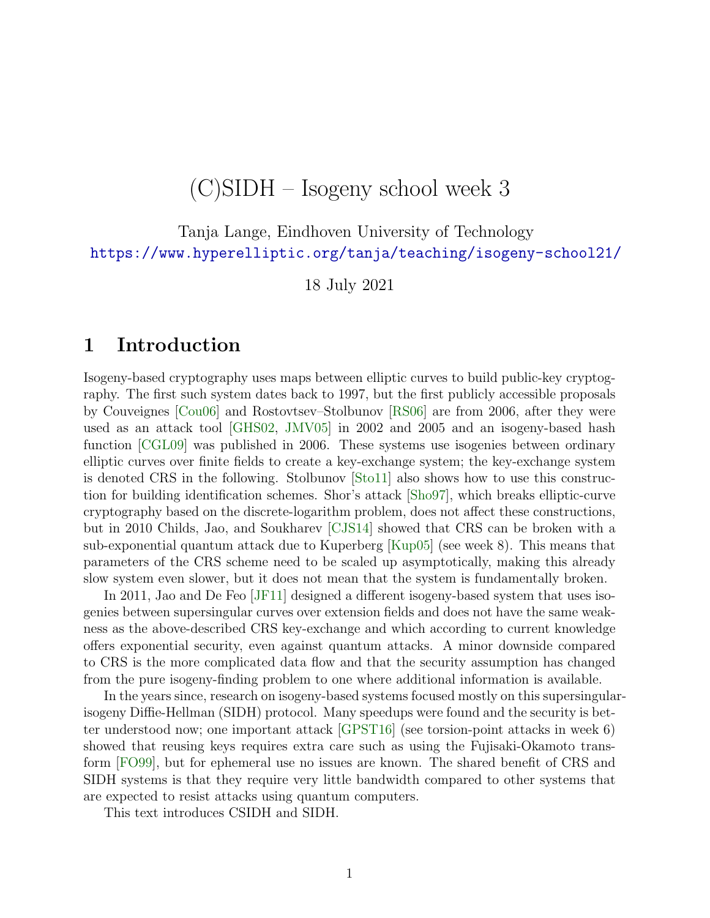# (C)SIDH – Isogeny school week 3

Tanja Lange, Eindhoven University of Technology [https://www.hyperelliptic.org/tanja/teaching/isogeny-school21/]( https://www.hyperelliptic.org/tanja/teaching/isogeny-school21/)

18 July 2021

# 1 Introduction

Isogeny-based cryptography uses maps between elliptic curves to build public-key cryptography. The first such system dates back to 1997, but the first publicly accessible proposals by Couveignes [\[Cou06\]](#page-14-0) and Rostovtsev–Stolbunov [\[RS06\]](#page-15-0) are from 2006, after they were used as an attack tool [\[GHS02,](#page-14-1) [JMV05\]](#page-15-1) in 2002 and 2005 and an isogeny-based hash function [\[CGL09\]](#page-14-2) was published in 2006. These systems use isogenies between ordinary elliptic curves over finite fields to create a key-exchange system; the key-exchange system is denoted CRS in the following. Stolbunov [\[Sto11\]](#page-16-0) also shows how to use this construction for building identification schemes. Shor's attack [\[Sho97\]](#page-16-1), which breaks elliptic-curve cryptography based on the discrete-logarithm problem, does not affect these constructions, but in 2010 Childs, Jao, and Soukharev [\[CJS14\]](#page-14-3) showed that CRS can be broken with a sub-exponential quantum attack due to Kuperberg [\[Kup05\]](#page-15-2) (see week 8). This means that parameters of the CRS scheme need to be scaled up asymptotically, making this already slow system even slower, but it does not mean that the system is fundamentally broken.

In 2011, Jao and De Feo [\[JF11\]](#page-15-3) designed a different isogeny-based system that uses isogenies between supersingular curves over extension fields and does not have the same weakness as the above-described CRS key-exchange and which according to current knowledge offers exponential security, even against quantum attacks. A minor downside compared to CRS is the more complicated data flow and that the security assumption has changed from the pure isogeny-finding problem to one where additional information is available.

In the years since, research on isogeny-based systems focused mostly on this supersingularisogeny Diffie-Hellman (SIDH) protocol. Many speedups were found and the security is better understood now; one important attack [\[GPST16\]](#page-14-4) (see torsion-point attacks in week 6) showed that reusing keys requires extra care such as using the Fujisaki-Okamoto transform [\[FO99\]](#page-14-5), but for ephemeral use no issues are known. The shared benefit of CRS and SIDH systems is that they require very little bandwidth compared to other systems that are expected to resist attacks using quantum computers.

This text introduces CSIDH and SIDH.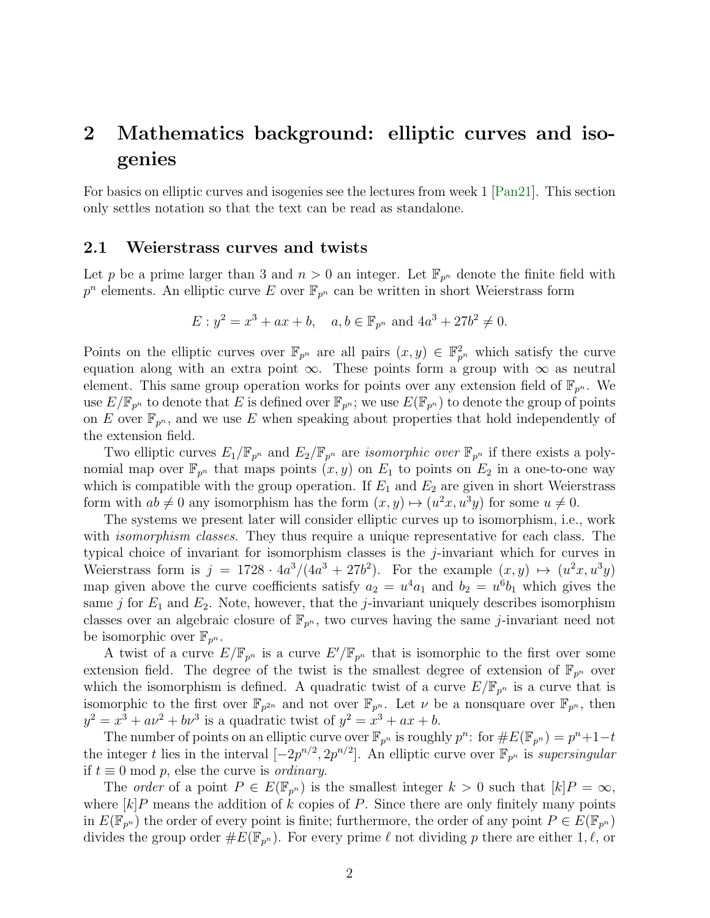# 2 Mathematics background: elliptic curves and isogenies

For basics on elliptic curves and isogenies see the lectures from week 1 [\[Pan21\]](#page-15-4). This section only settles notation so that the text can be read as standalone.

### 2.1 Weierstrass curves and twists

Let p be a prime larger than 3 and  $n > 0$  an integer. Let  $\mathbb{F}_{p^n}$  denote the finite field with  $p^n$  elements. An elliptic curve E over  $\mathbb{F}_{p^n}$  can be written in short Weierstrass form

$$
E: y^2 = x^3 + ax + b
$$
,  $a, b \in \mathbb{F}_{p^n}$  and  $4a^3 + 27b^2 \neq 0$ .

Points on the elliptic curves over  $\mathbb{F}_{p^n}$  are all pairs  $(x, y) \in \mathbb{F}_{p^n}^2$  which satisfy the curve equation along with an extra point  $\infty$ . These points form a group with  $\infty$  as neutral element. This same group operation works for points over any extension field of  $\mathbb{F}_{p^n}$ . We use  $E/\mathbb{F}_{p^n}$  to denote that E is defined over  $\mathbb{F}_{p^n}$ ; we use  $E(\mathbb{F}_{p^n})$  to denote the group of points on E over  $\mathbb{F}_{p^n}$ , and we use E when speaking about properties that hold independently of the extension field.

Two elliptic curves  $E_1/\mathbb{F}_{p^n}$  and  $E_2/\mathbb{F}_{p^n}$  are *isomorphic over*  $\mathbb{F}_{p^n}$  if there exists a polynomial map over  $\mathbb{F}_{p^n}$  that maps points  $(x, y)$  on  $E_1$  to points on  $E_2$  in a one-to-one way which is compatible with the group operation. If  $E_1$  and  $E_2$  are given in short Weierstrass form with  $ab \neq 0$  any isomorphism has the form  $(x, y) \mapsto (u^2x, u^3y)$  for some  $u \neq 0$ .

The systems we present later will consider elliptic curves up to isomorphism, i.e., work with *isomorphism classes*. They thus require a unique representative for each class. The typical choice of invariant for isomorphism classes is the j-invariant which for curves in Weierstrass form is  $j = 1728 \cdot 4a^3/(4a^3 + 27b^2)$ . For the example  $(x, y) \mapsto (u^2x, u^3y)$ map given above the curve coefficients satisfy  $a_2 = u^4 a_1$  and  $b_2 = u^6 b_1$  which gives the same j for  $E_1$  and  $E_2$ . Note, however, that the j-invariant uniquely describes isomorphism classes over an algebraic closure of  $\mathbb{F}_{p^n}$ , two curves having the same *j*-invariant need not be isomorphic over  $\mathbb{F}_{p^n}$ .

A twist of a curve  $E/\mathbb{F}_{p^n}$  is a curve  $E'/\mathbb{F}_{p^n}$  that is isomorphic to the first over some extension field. The degree of the twist is the smallest degree of extension of  $\mathbb{F}_{p^n}$  over which the isomorphism is defined. A quadratic twist of a curve  $E/\mathbb{F}_{p^n}$  is a curve that is isomorphic to the first over  $\mathbb{F}_{p^{2n}}$  and not over  $\mathbb{F}_{p^n}$ . Let  $\nu$  be a nonsquare over  $\mathbb{F}_{p^n}$ , then  $y^{2} = x^{3} + ay^{2} + by^{3}$  is a quadratic twist of  $y^{2} = x^{3} + ax + b$ .

The number of points on an elliptic curve over  $\mathbb{F}_{p^n}$  is roughly  $p^n$ : for  $\#E(\mathbb{F}_{p^n}) = p^n + 1 - t$ the integer t lies in the interval  $[-2p^{n/2}, 2p^{n/2}]$ . An elliptic curve over  $\mathbb{F}_{p^n}$  is *supersingular* if  $t \equiv 0 \mod p$ , else the curve is *ordinary*.

The *order* of a point  $P \in E(\mathbb{F}_{p^n})$  is the smallest integer  $k > 0$  such that  $[k]P = \infty$ , where  $[k]P$  means the addition of k copies of P. Since there are only finitely many points in  $E(\mathbb{F}_{p^n})$  the order of every point is finite; furthermore, the order of any point  $P \in E(\mathbb{F}_{p^n})$ divides the group order  $\#E(\mathbb{F}_{p^n})$ . For every prime  $\ell$  not dividing p there are either 1,  $\ell$ , or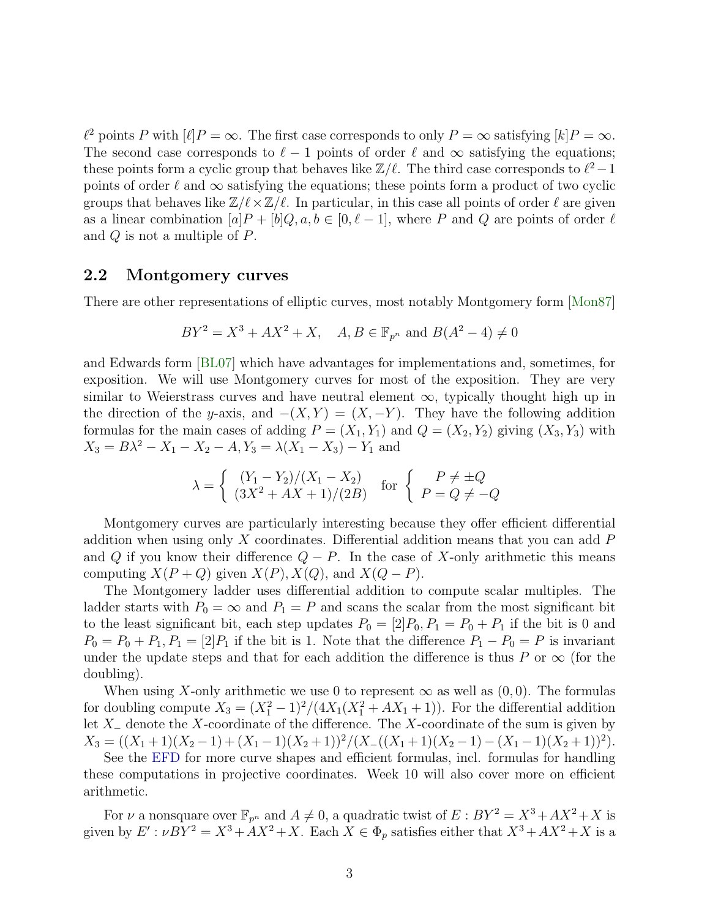$\ell^2$  points P with  $[\ell]P = \infty$ . The first case corresponds to only  $P = \infty$  satisfying  $[k]P = \infty$ . The second case corresponds to  $\ell - 1$  points of order  $\ell$  and  $\infty$  satisfying the equations; these points form a cyclic group that behaves like  $\mathbb{Z}/\ell$ . The third case corresponds to  $\ell^2-1$ points of order  $\ell$  and  $\infty$  satisfying the equations; these points form a product of two cyclic groups that behaves like  $\mathbb{Z}/\ell \times \mathbb{Z}/\ell$ . In particular, in this case all points of order  $\ell$  are given as a linear combination  $[a]P + [b]Q, a, b \in [0, \ell - 1]$ , where P and Q are points of order  $\ell$ and Q is not a multiple of P.

### 2.2 Montgomery curves

There are other representations of elliptic curves, most notably Montgomery form [\[Mon87\]](#page-15-5)

$$
BY^{2} = X^{3} + AX^{2} + X, \quad A, B \in \mathbb{F}_{p^{n}} \text{ and } B(A^{2} - 4) \neq 0
$$

and Edwards form [\[BL07\]](#page-13-0) which have advantages for implementations and, sometimes, for exposition. We will use Montgomery curves for most of the exposition. They are very similar to Weierstrass curves and have neutral element  $\infty$ , typically thought high up in the direction of the y-axis, and  $-(X, Y) = (X, -Y)$ . They have the following addition formulas for the main cases of adding  $P = (X_1, Y_1)$  and  $Q = (X_2, Y_2)$  giving  $(X_3, Y_3)$  with  $X_3 = B\lambda^2 - X_1 - X_2 - A, Y_3 = \lambda(X_1 - X_3) - Y_1$  and

$$
\lambda = \begin{cases} (Y_1 - Y_2)/(X_1 - X_2) & \text{for } \begin{cases} P \neq \pm Q \\ (3X^2 + AX + 1)/(2B) & P = Q \neq -Q \end{cases} \end{cases}
$$

Montgomery curves are particularly interesting because they offer efficient differential addition when using only X coordinates. Differential addition means that you can add  $P$ and Q if you know their difference  $Q - P$ . In the case of X-only arithmetic this means computing  $X(P+Q)$  given  $X(P), X(Q)$ , and  $X(Q-P)$ .

The Montgomery ladder uses differential addition to compute scalar multiples. The ladder starts with  $P_0 = \infty$  and  $P_1 = P$  and scans the scalar from the most significant bit to the least significant bit, each step updates  $P_0 = [2]P_0, P_1 = P_0 + P_1$  if the bit is 0 and  $P_0 = P_0 + P_1, P_1 = [2]P_1$  if the bit is 1. Note that the difference  $P_1 - P_0 = P$  is invariant under the update steps and that for each addition the difference is thus P or  $\infty$  (for the doubling).

When using X-only arithmetic we use 0 to represent  $\infty$  as well as  $(0,0)$ . The formulas for doubling compute  $X_3 = (X_1^2 - 1)^2/(4X_1(X_1^2 + AX_1 + 1))$ . For the differential addition let X<sup>−</sup> denote the X-coordinate of the difference. The X-coordinate of the sum is given by  $X_3 = ((X_1 + 1)(X_2 - 1) + (X_1 - 1)(X_2 + 1))^2 / (X_-(X_1 + 1)(X_2 - 1) - (X_1 - 1)(X_2 + 1))^2).$ 

See the [EFD](http://hyperelliptic.org/EFD/g1p/index.html) for more curve shapes and efficient formulas, incl. formulas for handling these computations in projective coordinates. Week 10 will also cover more on efficient arithmetic.

For  $\nu$  a nonsquare over  $\mathbb{F}_{p^n}$  and  $A \neq 0$ , a quadratic twist of  $E : BY^2 = X^3 + AX^2 + X$  is given by  $E': \nu BY^2 = X^3 + AX^2 + X$ . Each  $X \in \Phi_p$  satisfies either that  $X^3 + AX^2 + X$  is a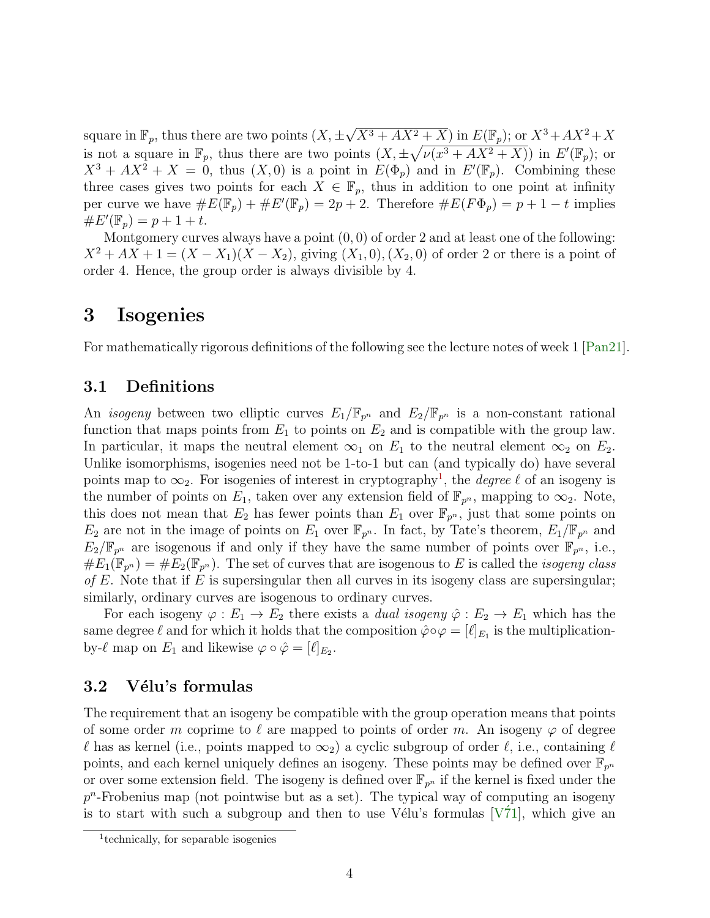square in  $\mathbb{F}_p$ , thus there are two points  $(X, \pm \sqrt{X^3 + AX^2 + X})$  in  $E(\mathbb{F}_p)$ ; or  $X^3 + AX^2 + X$ is not a square in  $\mathbb{F}_p$ , thus there are two points  $(X, \pm \sqrt{\nu(x^3 + AX^2 + X)})$  in  $E'(\mathbb{F}_p)$ ; or  $X^3 + AX^2 + X = 0$ , thus  $(X,0)$  is a point in  $E(\Phi_p)$  and in  $E'(\mathbb{F}_p)$ . Combining these three cases gives two points for each  $X \in \mathbb{F}_p$ , thus in addition to one point at infinity per curve we have  $\#E(\mathbb{F}_p) + \#E'(\mathbb{F}_p) = 2p + 2$ . Therefore  $\#E(F\Phi_p) = p + 1 - t$  implies  $\#E'(\mathbb{F}_p) = p + 1 + t.$ 

Montgomery curves always have a point  $(0,0)$  of order 2 and at least one of the following:  $X^2 + AX + 1 = (X - X_1)(X - X_2)$ , giving  $(X_1, 0), (X_2, 0)$  of order 2 or there is a point of order 4. Hence, the group order is always divisible by 4.

# 3 Isogenies

For mathematically rigorous definitions of the following see the lecture notes of week 1 [\[Pan21\]](#page-15-4).

## 3.1 Definitions

An *isogeny* between two elliptic curves  $E_1/\mathbb{F}_{p^n}$  and  $E_2/\mathbb{F}_{p^n}$  is a non-constant rational function that maps points from  $E_1$  to points on  $E_2$  and is compatible with the group law. In particular, it maps the neutral element  $\infty_1$  on  $E_1$  to the neutral element  $\infty_2$  on  $E_2$ . Unlike isomorphisms, isogenies need not be 1-to-1 but can (and typically do) have several points map to  $\infty_2$ . For isogenies of interest in cryptography<sup>[1](#page-3-0)</sup>, the *degree*  $\ell$  of an isogeny is the number of points on  $E_1$ , taken over any extension field of  $\mathbb{F}_{p^n}$ , mapping to  $\infty_2$ . Note, this does not mean that  $E_2$  has fewer points than  $E_1$  over  $\mathbb{F}_{p^n}$ , just that some points on  $E_2$  are not in the image of points on  $E_1$  over  $\mathbb{F}_{p^n}$ . In fact, by Tate's theorem,  $E_1/\mathbb{F}_{p^n}$  and  $E_2/\mathbb{F}_{p^n}$  are isogenous if and only if they have the same number of points over  $\mathbb{F}_{p^n}$ , i.e.,  $\#E_1(\mathbb{F}_{p^n}) = \#E_2(\mathbb{F}_{p^n}).$  The set of curves that are isogenous to E is called the *isogeny class* of E. Note that if E is supersingular then all curves in its isogeny class are supersingular; similarly, ordinary curves are isogenous to ordinary curves.

For each isogeny  $\varphi : E_1 \to E_2$  there exists a *dual isogeny*  $\hat{\varphi} : E_2 \to E_1$  which has the same degree  $\ell$  and for which it holds that the composition  $\hat{\varphi} \circ \varphi = [\ell]_{E_1}$  is the multiplicationby- $\ell$  map on  $E_1$  and likewise  $\varphi \circ \hat{\varphi} = [\ell]_{E_2}$ .

## 3.2 Vélu's formulas

The requirement that an isogeny be compatible with the group operation means that points of some order m coprime to  $\ell$  are mapped to points of order m. An isogeny  $\varphi$  of degree  $\ell$  has as kernel (i.e., points mapped to  $\infty_2$ ) a cyclic subgroup of order  $\ell$ , i.e., containing  $\ell$ points, and each kernel uniquely defines an isogeny. These points may be defined over  $\mathbb{F}_{p^n}$ or over some extension field. The isogeny is defined over  $\mathbb{F}_{p^n}$  if the kernel is fixed under the  $p<sup>n</sup>$ -Frobenius map (not pointwise but as a set). The typical way of computing an isogeny is to start with such a subgroup and then to use Vélu's formulas  $[V\dot{7}1]$ , which give an

<span id="page-3-0"></span><sup>1</sup> technically, for separable isogenies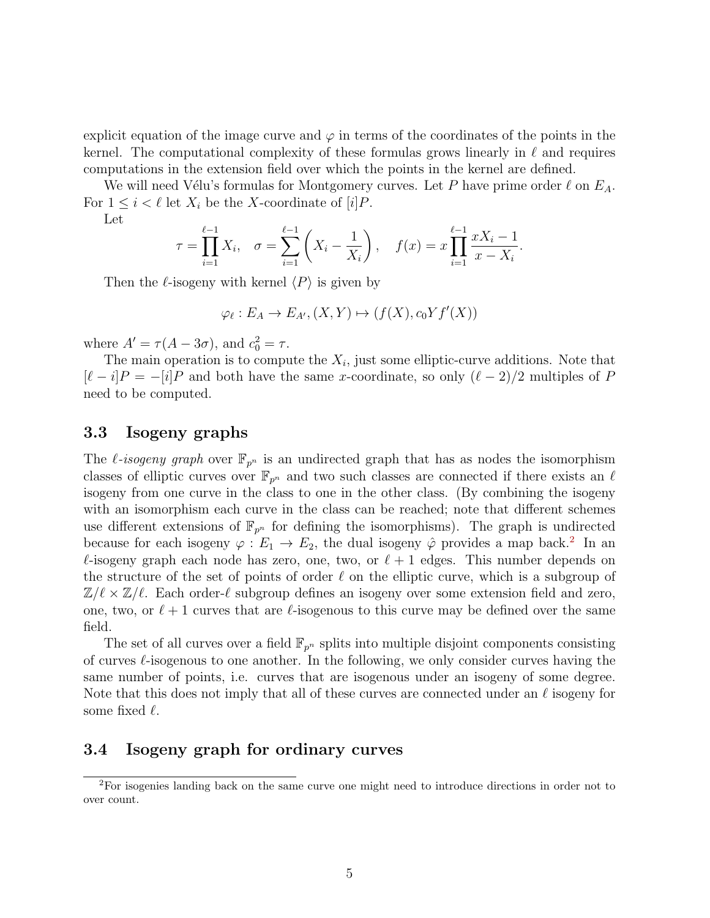explicit equation of the image curve and  $\varphi$  in terms of the coordinates of the points in the kernel. The computational complexity of these formulas grows linearly in  $\ell$  and requires computations in the extension field over which the points in the kernel are defined.

We will need Vélu's formulas for Montgomery curves. Let P have prime order  $\ell$  on  $E_A$ . For  $1 \leq i \leq \ell$  let  $X_i$  be the X-coordinate of  $[i]P$ .

Let

$$
\tau = \prod_{i=1}^{\ell-1} X_i, \quad \sigma = \sum_{i=1}^{\ell-1} \left( X_i - \frac{1}{X_i} \right), \quad f(x) = x \prod_{i=1}^{\ell-1} \frac{x X_i - 1}{x - X_i}.
$$

Then the  $\ell$ -isogeny with kernel  $\langle P \rangle$  is given by

$$
\varphi_{\ell}: E_A \to E_{A'}, (X, Y) \mapsto (f(X), c_0 Y f'(X))
$$

where  $A' = \tau (A - 3\sigma)$ , and  $c_0^2 = \tau$ .

The main operation is to compute the  $X_i$ , just some elliptic-curve additions. Note that  $[\ell - i]P = -[i]P$  and both have the same x-coordinate, so only  $(\ell - 2)/2$  multiples of P need to be computed.

## 3.3 Isogeny graphs

The *l*-isogeny graph over  $\mathbb{F}_{p^n}$  is an undirected graph that has as nodes the isomorphism classes of elliptic curves over  $\mathbb{F}_{p^n}$  and two such classes are connected if there exists an  $\ell$ isogeny from one curve in the class to one in the other class. (By combining the isogeny with an isomorphism each curve in the class can be reached; note that different schemes use different extensions of  $\mathbb{F}_{p^n}$  for defining the isomorphisms). The graph is undirected because for each isogeny  $\varphi : E_1 \to E_2$  $\varphi : E_1 \to E_2$ , the dual isogeny  $\hat{\varphi}$  provides a map back.<sup>2</sup> In an  $\ell$ -isogeny graph each node has zero, one, two, or  $\ell + 1$  edges. This number depends on the structure of the set of points of order  $\ell$  on the elliptic curve, which is a subgroup of  $\mathbb{Z}/\ell \times \mathbb{Z}/\ell$ . Each order- $\ell$  subgroup defines an isogeny over some extension field and zero, one, two, or  $\ell + 1$  curves that are  $\ell$ -isogenous to this curve may be defined over the same field.

The set of all curves over a field  $\mathbb{F}_{p^n}$  splits into multiple disjoint components consisting of curves  $\ell$ -isogenous to one another. In the following, we only consider curves having the same number of points, i.e. curves that are isogenous under an isogeny of some degree. Note that this does not imply that all of these curves are connected under an  $\ell$  isogeny for some fixed  $\ell$ .

### 3.4 Isogeny graph for ordinary curves

<span id="page-4-0"></span><sup>2</sup>For isogenies landing back on the same curve one might need to introduce directions in order not to over count.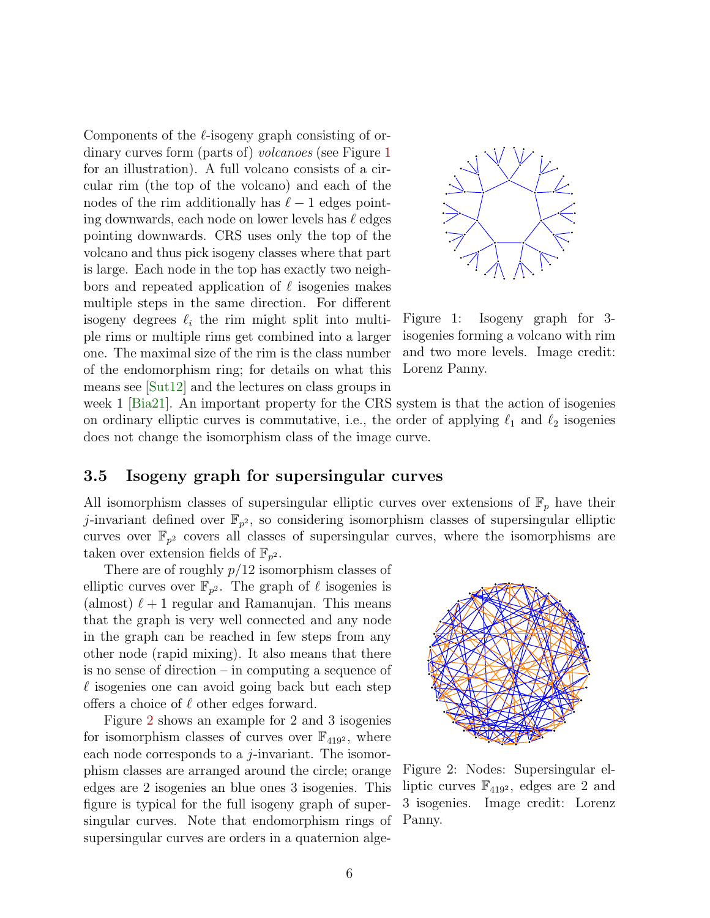Components of the  $\ell$ -isogeny graph consisting of ordinary curves form (parts of) *volcanoes* (see Figure [1](#page-5-0)) for an illustration). A full volcano consists of a circular rim (the top of the volcano) and each of the nodes of the rim additionally has  $\ell - 1$  edges pointing downwards, each node on lower levels has  $\ell$  edges pointing downwards. CRS uses only the top of the volcano and thus pick isogeny classes where that part is large. Each node in the top has exactly two neighbors and repeated application of  $\ell$  isogenies makes multiple steps in the same direction. For different isogeny degrees  $\ell_i$  the rim might split into multiple rims or multiple rims get combined into a larger one. The maximal size of the rim is the class number of the endomorphism ring; for details on what this means see [\[Sut12\]](#page-16-3) and the lectures on class groups in



<span id="page-5-0"></span>Figure 1: Isogeny graph for 3 isogenies forming a volcano with rim and two more levels. Image credit: Lorenz Panny.

week 1 [\[Bia21\]](#page-13-1). An important property for the CRS system is that the action of isogenies on ordinary elliptic curves is commutative, i.e., the order of applying  $\ell_1$  and  $\ell_2$  isogenies does not change the isomorphism class of the image curve.

## 3.5 Isogeny graph for supersingular curves

All isomorphism classes of supersingular elliptic curves over extensions of  $\mathbb{F}_p$  have their j-invariant defined over  $\mathbb{F}_{p^2}$ , so considering isomorphism classes of supersingular elliptic curves over  $\mathbb{F}_{p^2}$  covers all classes of supersingular curves, where the isomorphisms are taken over extension fields of  $\mathbb{F}_{p^2}$ .

There are of roughly  $p/12$  isomorphism classes of elliptic curves over  $\mathbb{F}_{p^2}$ . The graph of  $\ell$  isogenies is (almost)  $\ell + 1$  regular and Ramanujan. This means that the graph is very well connected and any node in the graph can be reached in few steps from any other node (rapid mixing). It also means that there is no sense of direction – in computing a sequence of  $\ell$  isogenies one can avoid going back but each step offers a choice of  $\ell$  other edges forward.

Figure [2](#page-5-1) shows an example for 2 and 3 isogenies for isomorphism classes of curves over  $\mathbb{F}_{419^2}$ , where each node corresponds to a  $j$ -invariant. The isomorphism classes are arranged around the circle; orange edges are 2 isogenies an blue ones 3 isogenies. This figure is typical for the full isogeny graph of supersingular curves. Note that endomorphism rings of supersingular curves are orders in a quaternion alge-



<span id="page-5-1"></span>Figure 2: Nodes: Supersingular elliptic curves  $\mathbb{F}_{419^2}$ , edges are 2 and 3 isogenies. Image credit: Lorenz Panny.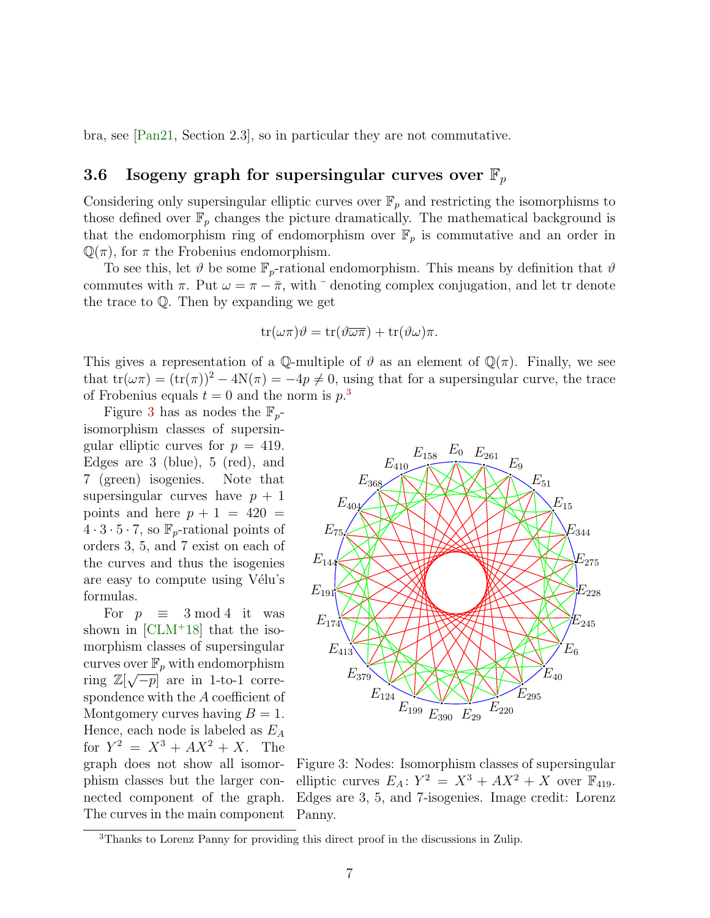bra, see [\[Pan21,](#page-15-4) Section 2.3], so in particular they are not commutative.

## <span id="page-6-2"></span>3.6 Isogeny graph for supersingular curves over  $\mathbb{F}_p$

Considering only supersingular elliptic curves over  $\mathbb{F}_p$  and restricting the isomorphisms to those defined over  $\mathbb{F}_p$  changes the picture dramatically. The mathematical background is that the endomorphism ring of endomorphism over  $\mathbb{F}_p$  is commutative and an order in  $\mathbb{Q}(\pi)$ , for  $\pi$  the Frobenius endomorphism.

To see this, let  $\vartheta$  be some  $\mathbb{F}_p$ -rational endomorphism. This means by definition that  $\vartheta$ commutes with  $\pi$ . Put  $\omega = \pi - \bar{\pi}$ , with  $\bar{\tau}$  denoting complex conjugation, and let tr denote the trace to Q. Then by expanding we get

$$
\operatorname{tr}(\omega \pi)\vartheta = \operatorname{tr}(\vartheta \overline{\omega \pi}) + \operatorname{tr}(\vartheta \omega)\pi.
$$

This gives a representation of a Q-multiple of  $\vartheta$  as an element of  $\mathbb{Q}(\pi)$ . Finally, we see that  $tr(\omega \pi) = (tr(\pi))^2 - 4N(\pi) = -4p \neq 0$ , using that for a supersingular curve, the trace of Frobenius equals  $t = 0$  and the norm is  $p^3$  $p^3$ .

Figure [3](#page-6-1) has as nodes the  $\mathbb{F}_p$ isomorphism classes of supersingular elliptic curves for  $p = 419$ . Edges are 3 (blue), 5 (red), and 7 (green) isogenies. Note that supersingular curves have  $p + 1$ points and here  $p + 1 = 420$  $4 \cdot 3 \cdot 5 \cdot 7$ , so  $\mathbb{F}_p$ -rational points of orders 3, 5, and 7 exist on each of the curves and thus the isogenies are easy to compute using Vélu's formulas.

The curves in the main component Panny. For  $p \equiv 3 \mod 4$  it was shown in  $\text{[CLM+18]}$  $\text{[CLM+18]}$  $\text{[CLM+18]}$  that the isomorphism classes of supersingular curves over  $\mathbb{F}_p$  with endomorphism ring  $\mathbb{Z}[\sqrt{-p}]$  are in 1-to-1 correspondence with the A coefficient of Montgomery curves having  $B = 1$ . Hence, each node is labeled as  $E_A$ for  $Y^2 = X^3 + AX^2 + X$ . The graph does not show all isomorphism classes but the larger connected component of the graph.



<span id="page-6-1"></span>Figure 3: Nodes: Isomorphism classes of supersingular elliptic curves  $E_A$ :  $Y^2 = X^3 + AX^2 + X$  over  $\mathbb{F}_{419}$ . Edges are 3, 5, and 7-isogenies. Image credit: Lorenz

<span id="page-6-0"></span><sup>&</sup>lt;sup>3</sup>Thanks to Lorenz Panny for providing this direct proof in the discussions in Zulip.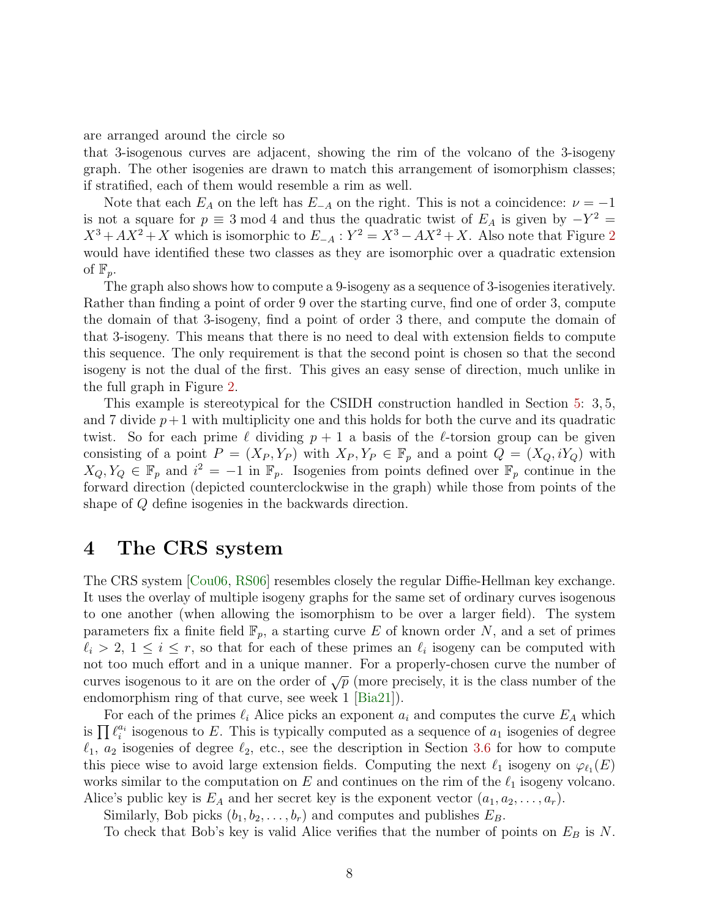are arranged around the circle so

that 3-isogenous curves are adjacent, showing the rim of the volcano of the 3-isogeny graph. The other isogenies are drawn to match this arrangement of isomorphism classes; if stratified, each of them would resemble a rim as well.

Note that each  $E_A$  on the left has  $E_{-A}$  on the right. This is not a coincidence:  $\nu = -1$ is not a square for  $p \equiv 3 \mod 4$  and thus the quadratic twist of  $E_A$  is given by  $-Y^2 =$  $X^3 + AX^2 + X$  $X^3 + AX^2 + X$  $X^3 + AX^2 + X$  which is isomorphic to  $E_{-A}$ :  $Y^2 = X^3 - AX^2 + X$ . Also note that Figure 2 would have identified these two classes as they are isomorphic over a quadratic extension of  $\mathbb{F}_p$ .

The graph also shows how to compute a 9-isogeny as a sequence of 3-isogenies iteratively. Rather than finding a point of order 9 over the starting curve, find one of order 3, compute the domain of that 3-isogeny, find a point of order 3 there, and compute the domain of that 3-isogeny. This means that there is no need to deal with extension fields to compute this sequence. The only requirement is that the second point is chosen so that the second isogeny is not the dual of the first. This gives an easy sense of direction, much unlike in the full graph in Figure [2.](#page-5-1)

This example is stereotypical for the CSIDH construction handled in Section [5:](#page-8-0) 3, 5, and 7 divide  $p+1$  with multiplicity one and this holds for both the curve and its quadratic twist. So for each prime  $\ell$  dividing  $p + 1$  a basis of the  $\ell$ -torsion group can be given consisting of a point  $P = (X_P, Y_P)$  with  $X_P, Y_P \in \mathbb{F}_p$  and a point  $Q = (X_Q, iY_Q)$  with  $X_Q, Y_Q \in \mathbb{F}_p$  and  $i^2 = -1$  in  $\mathbb{F}_p$ . Isogenies from points defined over  $\mathbb{F}_p$  continue in the forward direction (depicted counterclockwise in the graph) while those from points of the shape of Q define isogenies in the backwards direction.

## 4 The CRS system

The CRS system [\[Cou06,](#page-14-0) [RS06\]](#page-15-0) resembles closely the regular Diffie-Hellman key exchange. It uses the overlay of multiple isogeny graphs for the same set of ordinary curves isogenous to one another (when allowing the isomorphism to be over a larger field). The system parameters fix a finite field  $\mathbb{F}_p$ , a starting curve E of known order N, and a set of primes  $\ell_i > 2, 1 \leq i \leq r$ , so that for each of these primes an  $\ell_i$  isogeny can be computed with not too much effort and in a unique manner. For a properly-chosen curve the number of curves isogenous to it are on the order of  $\sqrt{p}$  (more precisely, it is the class number of the endomorphism ring of that curve, see week  $1$   $\vert$ Bia21 $\vert$ ).

For each of the primes  $\ell_i$  Alice picks an exponent  $a_i$  and computes the curve  $E_A$  which is  $\prod \ell_i^{a_i}$  isogenous to E. This is typically computed as a sequence of  $a_1$  isogenies of degree  $\ell_1$ ,  $a_2$  isogenies of degree  $\ell_2$ , etc., see the description in Section [3.6](#page-6-2) for how to compute this piece wise to avoid large extension fields. Computing the next  $\ell_1$  isogeny on  $\varphi_{\ell_1}(E)$ works similar to the computation on E and continues on the rim of the  $\ell_1$  isogeny volcano. Alice's public key is  $E_A$  and her secret key is the exponent vector  $(a_1, a_2, \ldots, a_r)$ .

Similarly, Bob picks  $(b_1, b_2, \ldots, b_r)$  and computes and publishes  $E_B$ .

To check that Bob's key is valid Alice verifies that the number of points on  $E_B$  is N.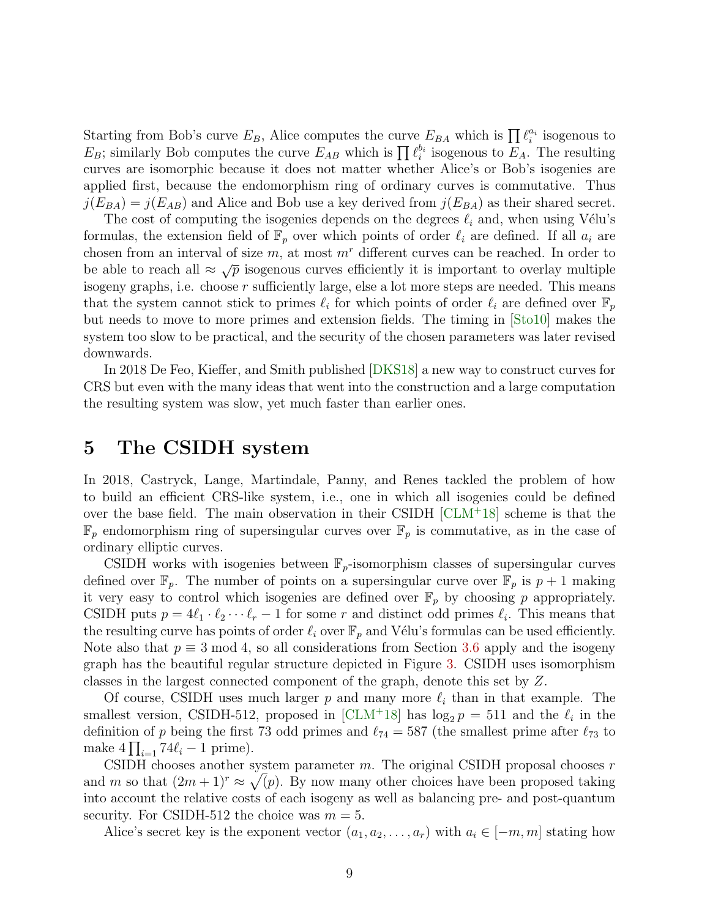Starting from Bob's curve  $E_B$ , Alice computes the curve  $E_{BA}$  which is  $\prod \ell_i^{a_i}$  isogenous to  $E_B$ ; similarly Bob computes the curve  $E_{AB}$  which is  $\prod_i \ell_i^{b_i}$  isogenous to  $E_A$ . The resulting curves are isomorphic because it does not matter whether Alice's or Bob's isogenies are applied first, because the endomorphism ring of ordinary curves is commutative. Thus  $j(E_{BA}) = j(E_{AB})$  and Alice and Bob use a key derived from  $j(E_{BA})$  as their shared secret.

The cost of computing the isogenies depends on the degrees  $\ell_i$  and, when using Vélu's formulas, the extension field of  $\mathbb{F}_p$  over which points of order  $\ell_i$  are defined. If all  $a_i$  are chosen from an interval of size  $m$ , at most  $m<sup>r</sup>$  different curves can be reached. In order to be able to reach all  $\approx \sqrt{p}$  isogenous curves efficiently it is important to overlay multiple isogeny graphs, i.e. choose  $r$  sufficiently large, else a lot more steps are needed. This means that the system cannot stick to primes  $\ell_i$  for which points of order  $\ell_i$  are defined over  $\mathbb{F}_p$ but needs to move to more primes and extension fields. The timing in [\[Sto10\]](#page-16-4) makes the system too slow to be practical, and the security of the chosen parameters was later revised downwards.

In 2018 De Feo, Kieffer, and Smith published [\[DKS18\]](#page-14-7) a new way to construct curves for CRS but even with the many ideas that went into the construction and a large computation the resulting system was slow, yet much faster than earlier ones.

# <span id="page-8-0"></span>5 The CSIDH system

In 2018, Castryck, Lange, Martindale, Panny, and Renes tackled the problem of how to build an efficient CRS-like system, i.e., one in which all isogenies could be defined over the base field. The main observation in their CSIDH [\[CLM](#page-14-6)<sup>+</sup>18] scheme is that the  $\mathbb{F}_p$  endomorphism ring of supersingular curves over  $\mathbb{F}_p$  is commutative, as in the case of ordinary elliptic curves.

CSIDH works with isogenies between  $\mathbb{F}_p$ -isomorphism classes of supersingular curves defined over  $\mathbb{F}_p$ . The number of points on a supersingular curve over  $\mathbb{F}_p$  is  $p+1$  making it very easy to control which isogenies are defined over  $\mathbb{F}_p$  by choosing p appropriately. CSIDH puts  $p = 4\ell_1 \cdot \ell_2 \cdots \ell_r - 1$  for some r and distinct odd primes  $\ell_i$ . This means that the resulting curve has points of order  $\ell_i$  over  $\mathbb{F}_p$  and Vélu's formulas can be used efficiently. Note also that  $p \equiv 3 \mod 4$ , so all considerations from Section [3.6](#page-6-2) apply and the isogeny graph has the beautiful regular structure depicted in Figure [3.](#page-6-1) CSIDH uses isomorphism classes in the largest connected component of the graph, denote this set by Z.

Of course, CSIDH uses much larger p and many more  $\ell_i$  than in that example. The smallest version, CSIDH-512, proposed in [\[CLM](#page-14-6)+18] has  $\log_2 p = 511$  and the  $\ell_i$  in the definition of p being the first 73 odd primes and  $\ell_{74} = 587$  (the smallest prime after  $\ell_{73}$  to make  $4\prod_{i=1} 74\ell_i - 1$  prime).

CSIDH chooses another system parameter  $m$ . The original CSIDH proposal chooses  $r$ and m so that  $(2m+1)^r \approx \sqrt(p)$ . By now many other choices have been proposed taking into account the relative costs of each isogeny as well as balancing pre- and post-quantum security. For CSIDH-512 the choice was  $m = 5$ .

Alice's secret key is the exponent vector  $(a_1, a_2, \ldots, a_r)$  with  $a_i \in [-m, m]$  stating how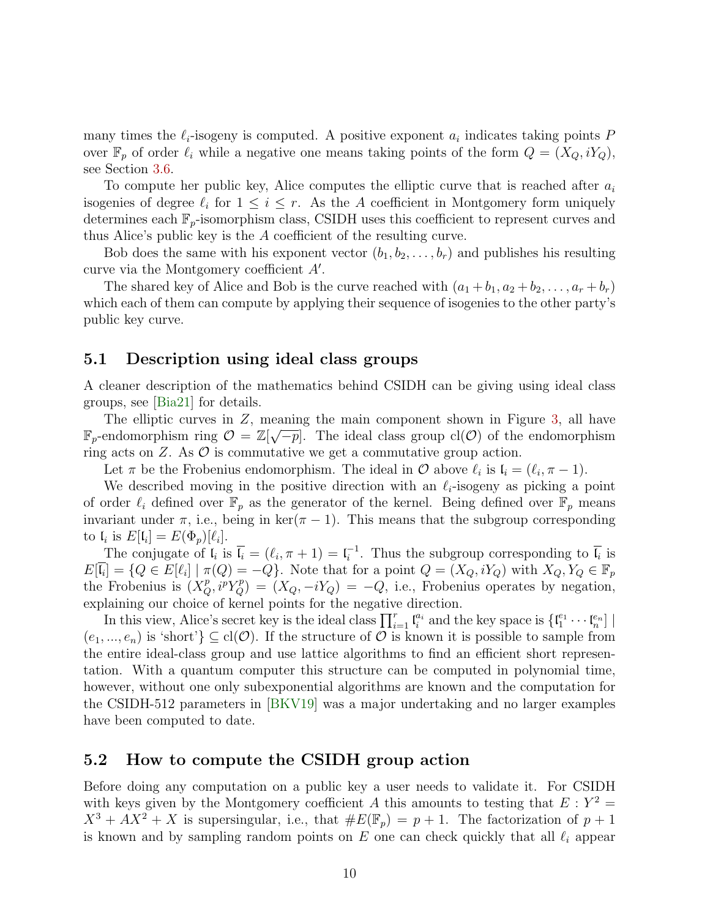many times the  $\ell_i$ -isogeny is computed. A positive exponent  $a_i$  indicates taking points  $P$ over  $\mathbb{F}_p$  of order  $\ell_i$  while a negative one means taking points of the form  $Q = (X_Q, iY_Q)$ , see Section [3.6.](#page-6-2)

To compute her public key, Alice computes the elliptic curve that is reached after  $a_i$ isogenies of degree  $\ell_i$  for  $1 \leq i \leq r$ . As the A coefficient in Montgomery form uniquely determines each  $\mathbb{F}_p$ -isomorphism class, CSIDH uses this coefficient to represent curves and thus Alice's public key is the A coefficient of the resulting curve.

Bob does the same with his exponent vector  $(b_1, b_2, \ldots, b_r)$  and publishes his resulting curve via the Montgomery coefficient  $A'$ .

The shared key of Alice and Bob is the curve reached with  $(a_1 + b_1, a_2 + b_2, \ldots, a_r + b_r)$ which each of them can compute by applying their sequence of isogenies to the other party's public key curve.

## 5.1 Description using ideal class groups

A cleaner description of the mathematics behind CSIDH can be giving using ideal class groups, see [\[Bia21\]](#page-13-1) for details.

The elliptic curves in Z, meaning the main component shown in Figure [3,](#page-6-1) all have  $\mathbb{F}_p$ -endomorphism ring  $\mathcal{O} = \mathbb{Z}[\sqrt{-p}]$ . The ideal class group  $\text{cl}(\mathcal{O})$  of the endomorphism ring acts on  $Z$ . As  $\mathcal O$  is commutative we get a commutative group action.

Let  $\pi$  be the Frobenius endomorphism. The ideal in  $\mathcal O$  above  $\ell_i$  is  $\mathfrak{l}_i = (\ell_i, \pi - 1)$ .

We described moving in the positive direction with an  $\ell_i$ -isogeny as picking a point of order  $\ell_i$  defined over  $\mathbb{F}_p$  as the generator of the kernel. Being defined over  $\mathbb{F}_p$  means invariant under  $\pi$ , i.e., being in ker( $\pi$  – 1). This means that the subgroup corresponding to  $\mathfrak{l}_i$  is  $E[\mathfrak{l}_i] = E(\Phi_p)[\ell_i].$ 

The conjugate of  $\mathfrak{l}_i$  is  $\overline{\mathfrak{l}_i} = (\ell_i, \pi + 1) = \mathfrak{l}_i^{-1}$  $i^{-1}$ . Thus the subgroup corresponding to  $\mathfrak{l}_i$  is  $E[\bar{l}_i] = \{Q \in E[\ell_i] \mid \pi(Q) = -Q\}.$  Note that for a point  $Q = (X_Q, iY_Q)$  with  $X_Q, Y_Q \in \mathbb{F}_p$ the Frobenius is  $(X_Q^p, i^p Y_Q^p) = (X_Q, -iY_Q) = -Q$ , i.e., Frobenius operates by negation, explaining our choice of kernel points for the negative direction.

In this view, Alice's secret key is the ideal class  $\prod_{i=1}^r \mathfrak{l}_i^{a_i}$  and the key space is  $\{\mathfrak{l}_1^{e_1} \cdots \mathfrak{l}_n^{e_n}\}$  $(e_1, ..., e_n)$  is 'short'}  $\subseteq$  cl( $\mathcal{O}$ ). If the structure of  $\mathcal O$  is known it is possible to sample from the entire ideal-class group and use lattice algorithms to find an efficient short representation. With a quantum computer this structure can be computed in polynomial time, however, without one only subexponential algorithms are known and the computation for the CSIDH-512 parameters in [\[BKV19\]](#page-13-2) was a major undertaking and no larger examples have been computed to date.

### 5.2 How to compute the CSIDH group action

Before doing any computation on a public key a user needs to validate it. For CSIDH with keys given by the Montgomery coefficient A this amounts to testing that  $E: Y^2 =$  $X^3 + AX^2 + X$  is supersingular, i.e., that  $\#E(\mathbb{F}_p) = p + 1$ . The factorization of  $p + 1$ is known and by sampling random points on  $E$  one can check quickly that all  $\ell_i$  appear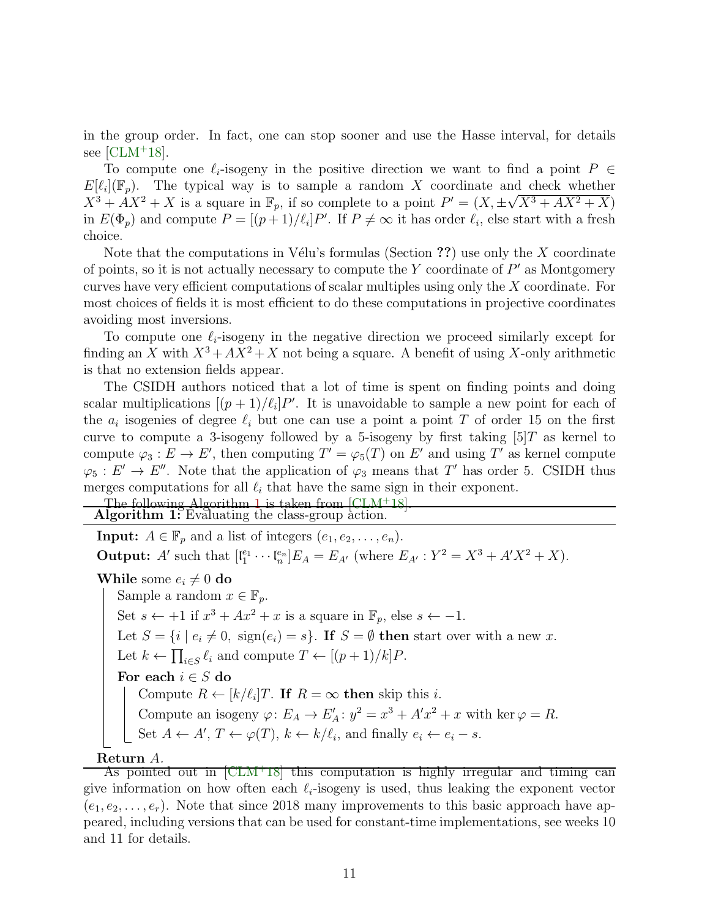in the group order. In fact, one can stop sooner and use the Hasse interval, for details see  $[CLM+18]$  $[CLM+18]$ .

To compute one  $\ell_i$ -isogeny in the positive direction we want to find a point  $P \in$  $E[\ell_i](\mathbb{F}_p)$ . The typical way is to sample a random X coordinate and check whether  $X^3 + AX^2 + X$  is a square in  $\mathbb{F}_p$ , if so complete to a point  $P' = (X, \pm \sqrt{X^3 + AX^2 + X})$ in  $E(\Phi_p)$  and compute  $P = [(p+1)/\ell_i]P'$ . If  $P \neq \infty$  it has order  $\ell_i$ , else start with a fresh choice.

Note that the computations in Vélu's formulas (Section ??) use only the  $X$  coordinate of points, so it is not actually necessary to compute the  $Y$  coordinate of  $P'$  as Montgomery curves have very efficient computations of scalar multiples using only the X coordinate. For most choices of fields it is most efficient to do these computations in projective coordinates avoiding most inversions.

To compute one  $\ell_i$ -isogeny in the negative direction we proceed similarly except for finding an X with  $X^3 + AX^2 + X$  not being a square. A benefit of using X-only arithmetic is that no extension fields appear.

The CSIDH authors noticed that a lot of time is spent on finding points and doing scalar multiplications  $[(p+1)/\ell_i]P'$ . It is unavoidable to sample a new point for each of the  $a_i$  isogenies of degree  $\ell_i$  but one can use a point a point T of order 15 on the first curve to compute a 3-isogeny followed by a 5-isogeny by first taking  $[5]T$  as kernel to compute  $\varphi_3: E \to E'$ , then computing  $T' = \varphi_5(T)$  on E' and using T' as kernel compute  $\varphi_5: E' \to E''$ . Note that the application of  $\varphi_3$  means that T' has order 5. CSIDH thus merges computations for all  $\ell_i$  that have the same sign in their exponent.

The following Algorithm [1](#page-10-0) is taken from [\[CLM](#page-14-6)+18]. Algorithm 1: Evaluating the class-group action.

<span id="page-10-0"></span>**Input:**  $A \in \mathbb{F}_p$  and a list of integers  $(e_1, e_2, \ldots, e_n)$ . **Output:** A' such that  $[\mathfrak{l}_1^{e_1} \cdots \mathfrak{l}_n^{e_n}]E_A = E_{A'}$  (where  $E_{A'} : Y^2 = X^3 + A'X^2 + X$ ). While some  $e_i \neq 0$  do Sample a random  $x \in \mathbb{F}_p$ . Set  $s \leftarrow +1$  if  $x^3 + Ax^2 + x$  is a square in  $\mathbb{F}_p$ , else  $s \leftarrow -1$ . Let  $S = \{i \mid e_i \neq 0, \text{ sign}(e_i) = s\}$ . If  $S = \emptyset$  then start over with a new x.

Let  $k \leftarrow \prod_{i \in S} \ell_i$  and compute  $T \leftarrow [(p+1)/k]P$ .

For each  $i \in S$  do

Compute  $R \leftarrow [k/\ell_i]T$ . If  $R = \infty$  then skip this *i*.

Compute an isogeny  $\varphi: E_A \to E'_A$ :  $y^2 = x^3 + A'x^2 + x$  with ker  $\varphi = R$ .

Set 
$$
A \leftarrow A'
$$
,  $T \leftarrow \varphi(T)$ ,  $k \leftarrow k/\ell_i$ , and finally  $e_i \leftarrow e_i - s$ .

### Return A.

As pointed out in [\[CLM](#page-14-6)<sup>+</sup>18] this computation is highly irregular and timing can give information on how often each  $\ell_i$ -isogeny is used, thus leaking the exponent vector  $(e_1, e_2, \ldots, e_r)$ . Note that since 2018 many improvements to this basic approach have appeared, including versions that can be used for constant-time implementations, see weeks 10 and 11 for details.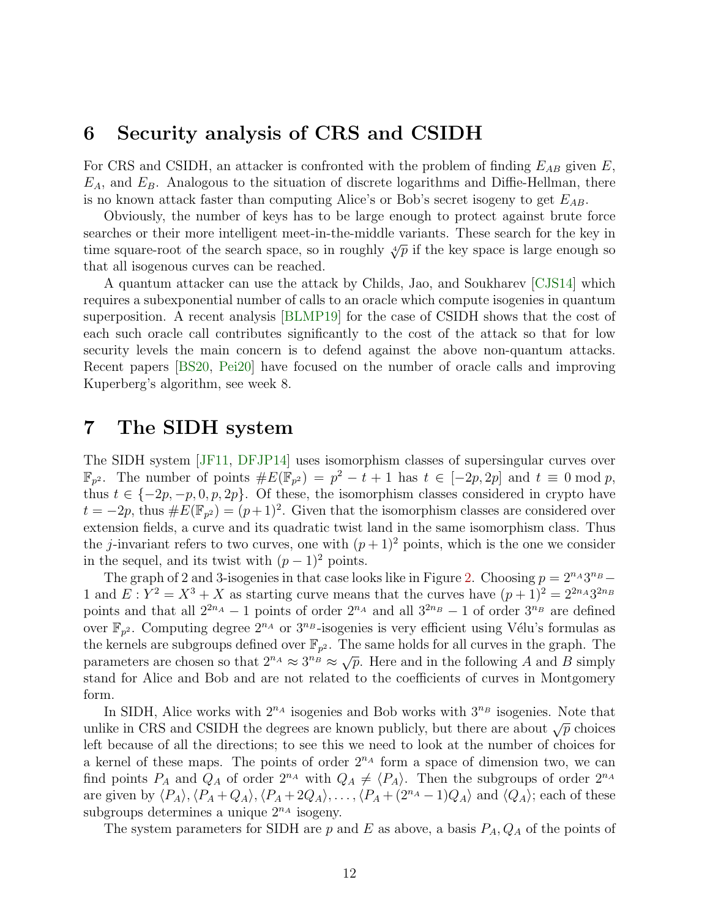# 6 Security analysis of CRS and CSIDH

For CRS and CSIDH, an attacker is confronted with the problem of finding  $E_{AB}$  given E,  $E_A$ , and  $E_B$ . Analogous to the situation of discrete logarithms and Diffie-Hellman, there is no known attack faster than computing Alice's or Bob's secret isogeny to get  $E_{AB}$ .

Obviously, the number of keys has to be large enough to protect against brute force searches or their more intelligent meet-in-the-middle variants. These search for the key in time square-root of the search space, so in roughly  $\sqrt[4]{p}$  if the key space is large enough so that all isogenous curves can be reached.

A quantum attacker can use the attack by Childs, Jao, and Soukharev [\[CJS14\]](#page-14-3) which requires a subexponential number of calls to an oracle which compute isogenies in quantum superposition. A recent analysis [\[BLMP19\]](#page-13-3) for the case of CSIDH shows that the cost of each such oracle call contributes significantly to the cost of the attack so that for low security levels the main concern is to defend against the above non-quantum attacks. Recent papers [\[BS20,](#page-14-8) [Pei20\]](#page-15-6) have focused on the number of oracle calls and improving Kuperberg's algorithm, see week 8.

## 7 The SIDH system

The SIDH system [\[JF11,](#page-15-3) [DFJP14\]](#page-14-9) uses isomorphism classes of supersingular curves over  $\mathbb{F}_{p^2}$ . The number of points  $\#E(\mathbb{F}_{p^2}) = p^2 - t + 1$  has  $t \in [-2p, 2p]$  and  $t \equiv 0 \mod p$ , thus  $t \in \{-2p, -p, 0, p, 2p\}$ . Of these, the isomorphism classes considered in crypto have  $t = -2p$ , thus  $\#E(\mathbb{F}_{p^2}) = (p+1)^2$ . Given that the isomorphism classes are considered over extension fields, a curve and its quadratic twist land in the same isomorphism class. Thus the j-invariant refers to two curves, one with  $(p+1)^2$  points, which is the one we consider in the sequel, and its twist with  $(p-1)^2$  points.

The graph of 2 and 3-isogenies in that case looks like in Figure [2.](#page-5-1) Choosing  $p = 2^{n_A}3^{n_B} -$ 1 and  $E: Y^2 = X^3 + X$  as starting curve means that the curves have  $(p+1)^2 = 2^{2n_A}3^{2n_B}$ points and that all  $2^{2n_A}-1$  points of order  $2^{n_A}$  and all  $3^{2n_B}-1$  of order  $3^{n_B}$  are defined over  $\mathbb{F}_{p^2}$ . Computing degree  $2^{n_A}$  or  $3^{n_B}$ -isogenies is very efficient using Vélu's formulas as the kernels are subgroups defined over  $\mathbb{F}_{p^2}$ . The same holds for all curves in the graph. The parameters are chosen so that  $2^{n_A} \approx 3^{n_B} \approx \sqrt{p}$ . Here and in the following A and B simply stand for Alice and Bob and are not related to the coefficients of curves in Montgomery form.

In SIDH, Alice works with  $2^{n_A}$  isogenies and Bob works with  $3^{n_B}$  isogenies. Note that unlike in CRS and CSIDH the degrees are known publicly, but there are about  $\sqrt{p}$  choices left because of all the directions; to see this we need to look at the number of choices for a kernel of these maps. The points of order  $2^{n_A}$  form a space of dimension two, we can find points  $P_A$  and  $Q_A$  of order  $2^{n_A}$  with  $Q_A \neq \langle P_A \rangle$ . Then the subgroups of order  $2^{n_A}$ are given by  $\langle P_A \rangle$ ,  $\langle P_A + Q_A \rangle$ ,  $\langle P_A + 2Q_A \rangle$ , ...,  $\langle P_A + (2^{n_A} - 1)Q_A \rangle$  and  $\langle Q_A \rangle$ ; each of these subgroups determines a unique  $2^{n_A}$  isogeny.

The system parameters for SIDH are p and E as above, a basis  $P_A, Q_A$  of the points of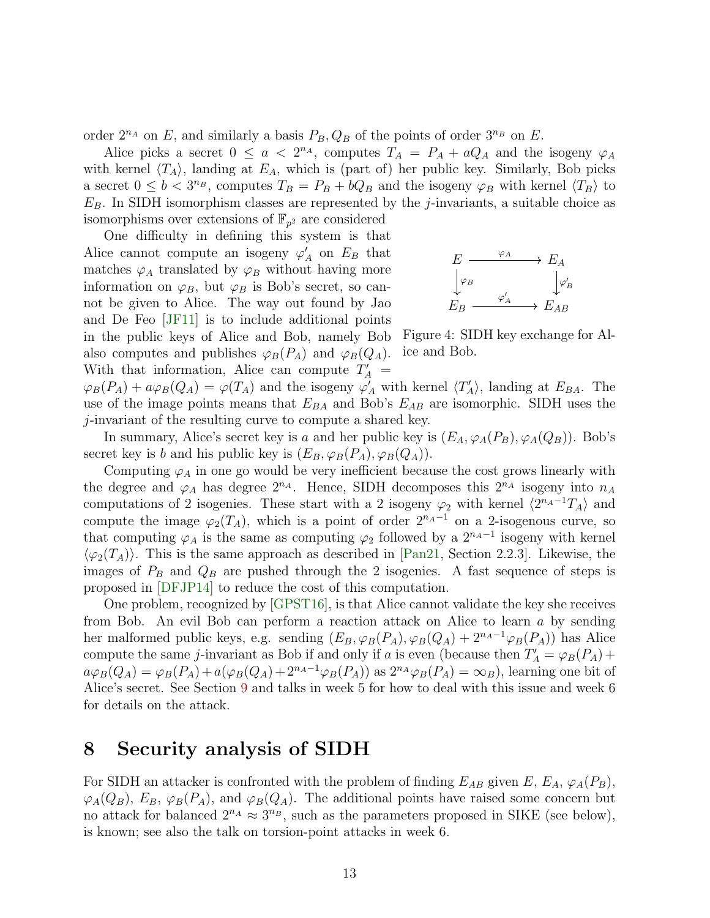order  $2^{n_A}$  on E, and similarly a basis  $P_B, Q_B$  of the points of order  $3^{n_B}$  on E.

Alice picks a secret  $0 \le a < 2^{n_A}$ , computes  $T_A = P_A + aQ_A$  and the isogeny  $\varphi_A$ with kernel  $\langle T_A \rangle$ , landing at  $E_A$ , which is (part of) her public key. Similarly, Bob picks a secret  $0 \leq b < 3^{n_B}$ , computes  $T_B = P_B + bQ_B$  and the isogeny  $\varphi_B$  with kernel  $\langle T_B \rangle$  to  $E_B$ . In SIDH isomorphism classes are represented by the *j*-invariants, a suitable choice as isomorphisms over extensions of  $\mathbb{F}_{p^2}$  are considered

One difficulty in defining this system is that Alice cannot compute an isogeny  $\varphi'_A$  on  $E_B$  that matches  $\varphi_A$  translated by  $\varphi_B$  without having more information on  $\varphi_B$ , but  $\varphi_B$  is Bob's secret, so cannot be given to Alice. The way out found by Jao and De Feo [\[JF11\]](#page-15-3) is to include additional points in the public keys of Alice and Bob, namely Bob also computes and publishes  $\varphi_B(P_A)$  and  $\varphi_B(Q_A)$ . With that information, Alice can compute  $T_A' =$ 



Figure 4: SIDH key exchange for Alice and Bob.

 $\varphi_B(P_A) + a\varphi_B(Q_A) = \varphi(T_A)$  and the isogeny  $\varphi'_A$  with kernel  $\langle T'_A \rangle$ , landing at  $E_{BA}$ . The use of the image points means that  $E_{BA}$  and Bob's  $E_{AB}$  are isomorphic. SIDH uses the j-invariant of the resulting curve to compute a shared key.

In summary, Alice's secret key is a and her public key is  $(E_A, \varphi_A(P_B), \varphi_A(Q_B))$ . Bob's secret key is b and his public key is  $(E_B, \varphi_B(P_A), \varphi_B(Q_A)).$ 

Computing  $\varphi_A$  in one go would be very inefficient because the cost grows linearly with the degree and  $\varphi_A$  has degree  $2^{n_A}$ . Hence, SIDH decomposes this  $2^{n_A}$  isogeny into  $n_A$ computations of 2 isogenies. These start with a 2 isogeny  $\varphi_2$  with kernel  $\langle 2^{n_A-1}T_A \rangle$  and compute the image  $\varphi_2(T_A)$ , which is a point of order  $2^{n_A-1}$  on a 2-isogenous curve, so that computing  $\varphi_A$  is the same as computing  $\varphi_2$  followed by a  $2^{n_A-1}$  isogeny with kernel  $\langle \varphi_2(T_A) \rangle$ . This is the same approach as described in [\[Pan21,](#page-15-4) Section 2.2.3]. Likewise, the images of  $P_B$  and  $Q_B$  are pushed through the 2 isogenies. A fast sequence of steps is proposed in [\[DFJP14\]](#page-14-9) to reduce the cost of this computation.

One problem, recognized by [\[GPST16\]](#page-14-4), is that Alice cannot validate the key she receives from Bob. An evil Bob can perform a reaction attack on Alice to learn a by sending her malformed public keys, e.g. sending  $(E_B, \varphi_B(P_A), \varphi_B(Q_A) + 2^{n_A-1} \varphi_B(P_A))$  has Alice compute the same *j*-invariant as Bob if and only if a is even (because then  $T_A' = \varphi_B(P_A) +$  $a\varphi_B(Q_A) = \varphi_B(P_A) + a(\varphi_B(Q_A) + 2^{n_A-1}\varphi_B(P_A))$  as  $2^{n_A}\varphi_B(P_A) = \infty_B$ , learning one bit of Alice's secret. See Section [9](#page-13-4) and talks in week 5 for how to deal with this issue and week 6 for details on the attack.

# 8 Security analysis of SIDH

For SIDH an attacker is confronted with the problem of finding  $E_{AB}$  given  $E, E_A, \varphi_A(P_B)$ ,  $\varphi_A(Q_B)$ ,  $E_B$ ,  $\varphi_B(P_A)$ , and  $\varphi_B(Q_A)$ . The additional points have raised some concern but no attack for balanced  $2^{n_A} \approx 3^{n_B}$ , such as the parameters proposed in SIKE (see below), is known; see also the talk on torsion-point attacks in week 6.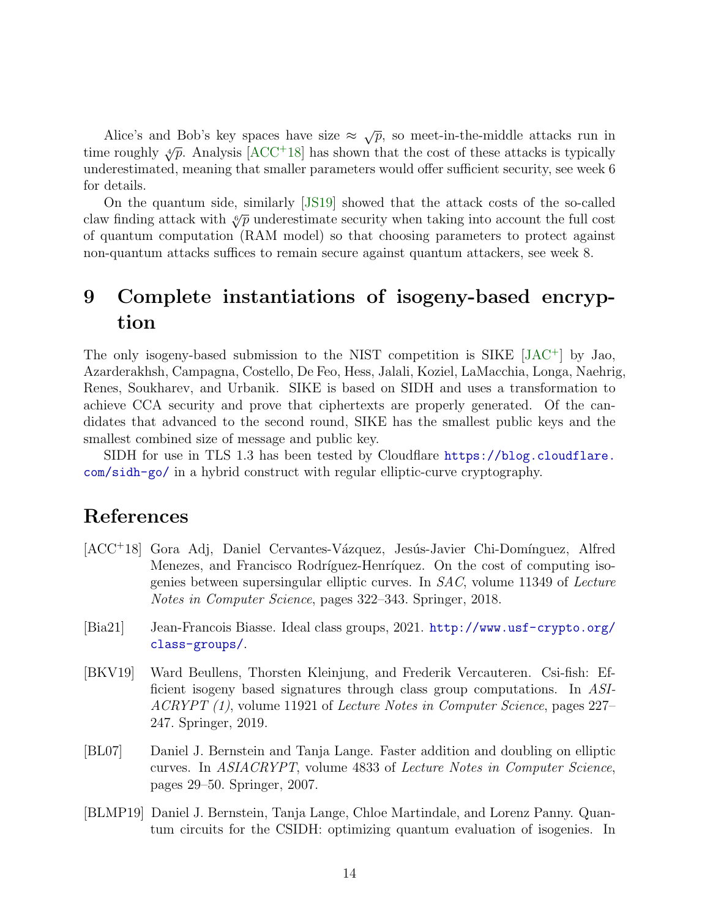Alice's and Bob's key spaces have size  $\approx \sqrt{p}$ , so meet-in-the-middle attacks run in time roughly  $\sqrt[4]{p}$ . Analysis [\[ACC](#page-13-5)<sup>+</sup>18] has shown that the cost of these attacks is typically underestimated, meaning that smaller parameters would offer sufficient security, see week 6 for details.

On the quantum side, similarly [\[JS19\]](#page-15-7) showed that the attack costs of the so-called claw finding attack with  $\sqrt[6]{p}$  underestimate security when taking into account the full cost of quantum computation (RAM model) so that choosing parameters to protect against non-quantum attacks suffices to remain secure against quantum attackers, see week 8.

# <span id="page-13-4"></span>9 Complete instantiations of isogeny-based encryption

The only isogeny-based submission to the NIST competition is SIKE [\[JAC](#page-15-8)<sup>+</sup>] by Jao, Azarderakhsh, Campagna, Costello, De Feo, Hess, Jalali, Koziel, LaMacchia, Longa, Naehrig, Renes, Soukharev, and Urbanik. SIKE is based on SIDH and uses a transformation to achieve CCA security and prove that ciphertexts are properly generated. Of the candidates that advanced to the second round, SIKE has the smallest public keys and the smallest combined size of message and public key.

SIDH for use in TLS 1.3 has been tested by Cloudflare [https://blog.cloudflare.](https://blog.cloudflare.com/sidh-go/) [com/sidh-go/](https://blog.cloudflare.com/sidh-go/) in a hybrid construct with regular elliptic-curve cryptography.

# References

- <span id="page-13-5"></span>[ACC+18] Gora Adj, Daniel Cervantes-Vázquez, Jesús-Javier Chi-Domínguez, Alfred Menezes, and Francisco Rodríguez-Henríquez. On the cost of computing isogenies between supersingular elliptic curves. In SAC, volume 11349 of Lecture Notes in Computer Science, pages 322–343. Springer, 2018.
- <span id="page-13-1"></span>[Bia21] Jean-Francois Biasse. Ideal class groups, 2021. [http://www.usf-crypto.org/](http://www.usf-crypto.org/class-groups/) [class-groups/](http://www.usf-crypto.org/class-groups/).
- <span id="page-13-2"></span>[BKV19] Ward Beullens, Thorsten Kleinjung, and Frederik Vercauteren. Csi-fish: Efficient isogeny based signatures through class group computations. In ASI-ACRYPT (1), volume 11921 of Lecture Notes in Computer Science, pages 227– 247. Springer, 2019.
- <span id="page-13-0"></span>[BL07] Daniel J. Bernstein and Tanja Lange. Faster addition and doubling on elliptic curves. In ASIACRYPT, volume 4833 of Lecture Notes in Computer Science, pages 29–50. Springer, 2007.
- <span id="page-13-3"></span>[BLMP19] Daniel J. Bernstein, Tanja Lange, Chloe Martindale, and Lorenz Panny. Quantum circuits for the CSIDH: optimizing quantum evaluation of isogenies. In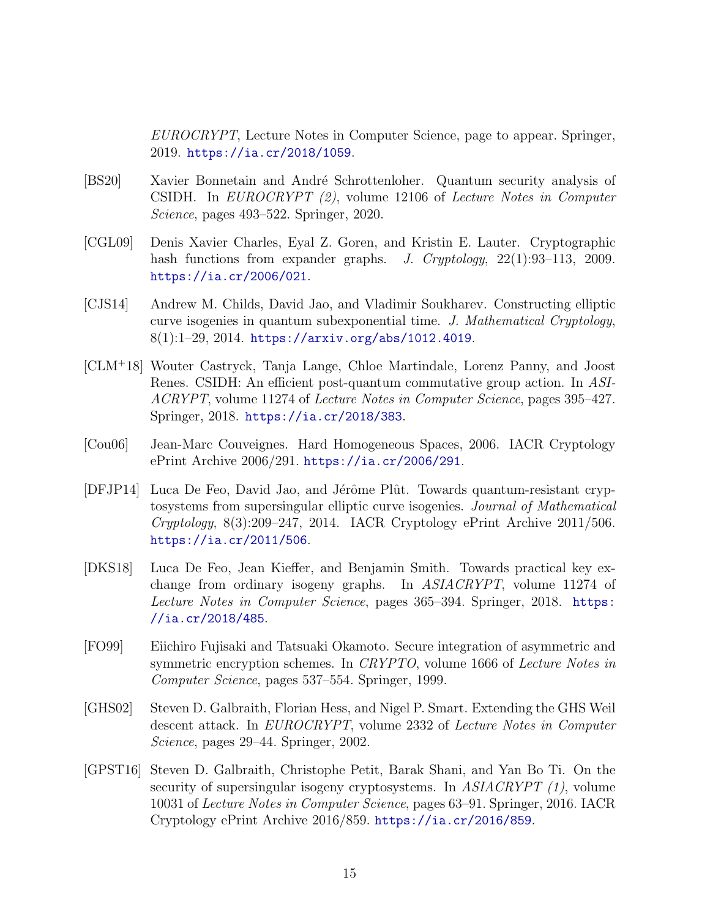EUROCRYPT, Lecture Notes in Computer Science, page to appear. Springer, 2019. <https://ia.cr/2018/1059>.

- <span id="page-14-8"></span>[BS20] Xavier Bonnetain and André Schrottenloher. Quantum security analysis of CSIDH. In EUROCRYPT (2), volume 12106 of Lecture Notes in Computer Science, pages 493–522. Springer, 2020.
- <span id="page-14-2"></span>[CGL09] Denis Xavier Charles, Eyal Z. Goren, and Kristin E. Lauter. Cryptographic hash functions from expander graphs. J. Cryptology, 22(1):93–113, 2009. <https://ia.cr/2006/021>.
- <span id="page-14-3"></span>[CJS14] Andrew M. Childs, David Jao, and Vladimir Soukharev. Constructing elliptic curve isogenies in quantum subexponential time. J. Mathematical Cryptology, 8(1):1–29, 2014. <https://arxiv.org/abs/1012.4019>.
- <span id="page-14-6"></span>[CLM<sup>+</sup>18] Wouter Castryck, Tanja Lange, Chloe Martindale, Lorenz Panny, and Joost Renes. CSIDH: An efficient post-quantum commutative group action. In ASI-ACRYPT, volume 11274 of Lecture Notes in Computer Science, pages 395–427. Springer, 2018. <https://ia.cr/2018/383>.
- <span id="page-14-0"></span>[Cou06] Jean-Marc Couveignes. Hard Homogeneous Spaces, 2006. IACR Cryptology ePrint Archive 2006/291. <https://ia.cr/2006/291>.
- <span id="page-14-9"></span>[DFJP14] Luca De Feo, David Jao, and Jérôme Plût. Towards quantum-resistant cryptosystems from supersingular elliptic curve isogenies. Journal of Mathematical  $Cryptology, 8(3):209-247, 2014.$  IACR Cryptology ePrint Archive 2011/506. <https://ia.cr/2011/506>.
- <span id="page-14-7"></span>[DKS18] Luca De Feo, Jean Kieffer, and Benjamin Smith. Towards practical key exchange from ordinary isogeny graphs. In ASIACRYPT, volume 11274 of Lecture Notes in Computer Science, pages 365–394. Springer, 2018. [https:](https://ia.cr/2018/485) [//ia.cr/2018/485](https://ia.cr/2018/485).
- <span id="page-14-5"></span>[FO99] Eiichiro Fujisaki and Tatsuaki Okamoto. Secure integration of asymmetric and symmetric encryption schemes. In CRYPTO, volume 1666 of Lecture Notes in Computer Science, pages 537–554. Springer, 1999.
- <span id="page-14-1"></span>[GHS02] Steven D. Galbraith, Florian Hess, and Nigel P. Smart. Extending the GHS Weil descent attack. In EUROCRYPT, volume 2332 of Lecture Notes in Computer Science, pages 29–44. Springer, 2002.
- <span id="page-14-4"></span>[GPST16] Steven D. Galbraith, Christophe Petit, Barak Shani, and Yan Bo Ti. On the security of supersingular isogeny cryptosystems. In ASIACRYPT (1), volume 10031 of Lecture Notes in Computer Science, pages 63–91. Springer, 2016. IACR Cryptology ePrint Archive 2016/859. <https://ia.cr/2016/859>.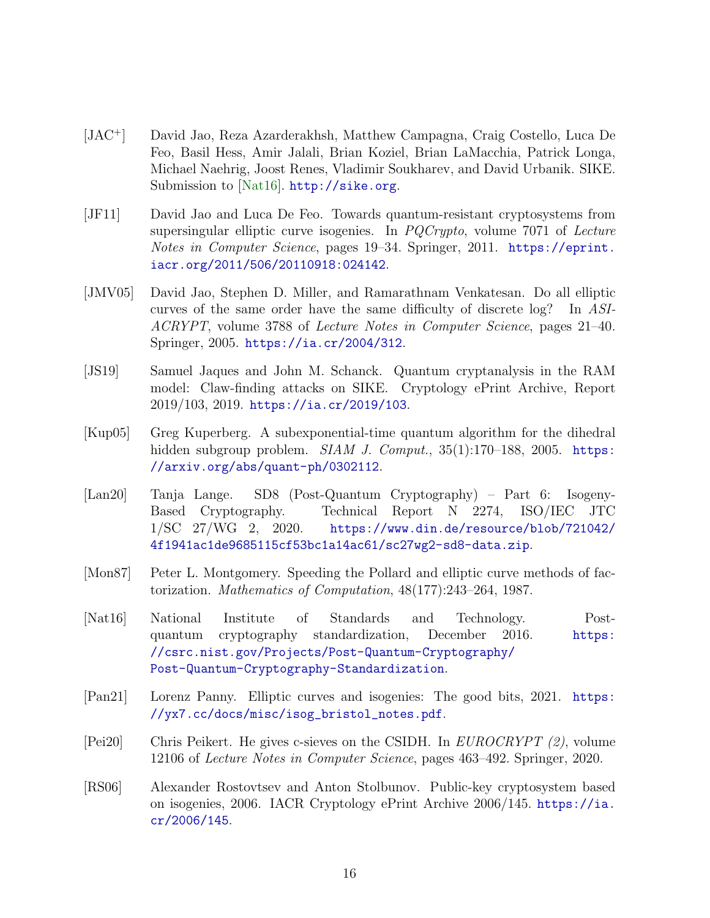- <span id="page-15-8"></span>[JAC<sup>+</sup>] David Jao, Reza Azarderakhsh, Matthew Campagna, Craig Costello, Luca De Feo, Basil Hess, Amir Jalali, Brian Koziel, Brian LaMacchia, Patrick Longa, Michael Naehrig, Joost Renes, Vladimir Soukharev, and David Urbanik. SIKE. Submission to [\[Nat16\]](#page-15-9). <http://sike.org>.
- <span id="page-15-3"></span>[JF11] David Jao and Luca De Feo. Towards quantum-resistant cryptosystems from supersingular elliptic curve isogenies. In PQCrypto, volume 7071 of Lecture Notes in Computer Science, pages 19–34. Springer, 2011. [https://eprint.](https://eprint.iacr.org/2011/506/20110918:024142) [iacr.org/2011/506/20110918:024142](https://eprint.iacr.org/2011/506/20110918:024142).
- <span id="page-15-1"></span>[JMV05] David Jao, Stephen D. Miller, and Ramarathnam Venkatesan. Do all elliptic curves of the same order have the same difficulty of discrete log? In ASI-ACRYPT, volume 3788 of Lecture Notes in Computer Science, pages 21–40. Springer, 2005. <https://ia.cr/2004/312>.
- <span id="page-15-7"></span>[JS19] Samuel Jaques and John M. Schanck. Quantum cryptanalysis in the RAM model: Claw-finding attacks on SIKE. Cryptology ePrint Archive, Report 2019/103, 2019. <https://ia.cr/2019/103>.
- <span id="page-15-2"></span>[Kup05] Greg Kuperberg. A subexponential-time quantum algorithm for the dihedral hidden subgroup problem.  $SIAM$  J. Comput.,  $35(1):170-188$ , 2005. [https:](https://arxiv.org/abs/quant-ph/0302112) [//arxiv.org/abs/quant-ph/0302112](https://arxiv.org/abs/quant-ph/0302112).
- <span id="page-15-10"></span>[Lan20] Tanja Lange. SD8 (Post-Quantum Cryptography) – Part 6: Isogeny-Based Cryptography. Technical Report N 2274, ISO/IEC JTC 1/SC 27/WG 2, 2020. [https://www.din.de/resource/blob/721042/](https://www.din.de/resource/blob/721042/4f1941ac1de9685115cf53bc1a14ac61/sc27wg2-sd8-data.zip) [4f1941ac1de9685115cf53bc1a14ac61/sc27wg2-sd8-data.zip](https://www.din.de/resource/blob/721042/4f1941ac1de9685115cf53bc1a14ac61/sc27wg2-sd8-data.zip).
- <span id="page-15-5"></span>[Mon87] Peter L. Montgomery. Speeding the Pollard and elliptic curve methods of factorization. Mathematics of Computation, 48(177):243–264, 1987.
- <span id="page-15-9"></span>[Nat16] National Institute of Standards and Technology. Postquantum cryptography standardization, December 2016. [https:](https://csrc.nist.gov/Projects/Post-Quantum-Cryptography/Post-Quantum-Cryptography-Standardization) [//csrc.nist.gov/Projects/Post-Quantum-Cryptography/](https://csrc.nist.gov/Projects/Post-Quantum-Cryptography/Post-Quantum-Cryptography-Standardization) [Post-Quantum-Cryptography-Standardization](https://csrc.nist.gov/Projects/Post-Quantum-Cryptography/Post-Quantum-Cryptography-Standardization).
- <span id="page-15-4"></span>[Pan21] Lorenz Panny. Elliptic curves and isogenies: The good bits, 2021. [https:](https://yx7.cc/docs/misc/isog_bristol_notes.pdf) [//yx7.cc/docs/misc/isog\\_bristol\\_notes.pdf](https://yx7.cc/docs/misc/isog_bristol_notes.pdf).
- <span id="page-15-6"></span>[Pei20] Chris Peikert. He gives c-sieves on the CSIDH. In EUROCRYPT (2), volume 12106 of Lecture Notes in Computer Science, pages 463–492. Springer, 2020.
- <span id="page-15-0"></span>[RS06] Alexander Rostovtsev and Anton Stolbunov. Public-key cryptosystem based on isogenies, 2006. IACR Cryptology ePrint Archive 2006/145. [https://ia.](https://ia.cr/2006/145) [cr/2006/145](https://ia.cr/2006/145).